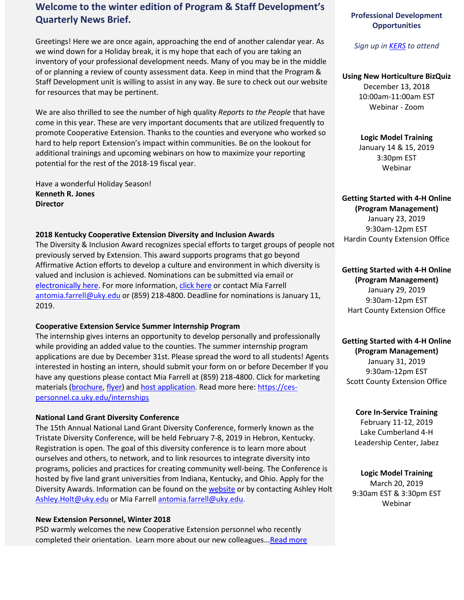# **Welcome to the winter edition of Program & Staff Development's Quarterly News Brief.**

Greetings! Here we are once again, approaching the end of another calendar year. As we wind down for a Holiday break, it is my hope that each of you are taking an inventory of your professional development needs. Many of you may be in the middle of or planning a review of county assessment data. Keep in mind that the Program & Staff Development unit is willing to assist in any way. Be sure to check out our website for resources that may be pertinent.

We are also thrilled to see the number of high quality *Reports to the People* that have come in this year. These are very important documents that are utilized frequently to promote Cooperative Extension. Thanks to the counties and everyone who worked so hard to help report Extension's impact within communities. Be on the lookout for additional trainings and upcoming webinars on how to maximize your reporting potential for the rest of the 2018-19 fiscal year.

Have a wonderful Holiday Season! **Kenneth R. Jones Director**

#### **2018 Kentucky Cooperative Extension Diversity and Inclusion Awards**

The Diversity & Inclusion Award recognizes special efforts to target groups of people not previously served by Extension. This award supports programs that go beyond Affirmative Action efforts to develop a culture and environment in which diversity is valued and inclusion is achieved. Nominations can be submitted via email or [electronically here.](https://uky.az1.qualtrics.com/jfe/form/SV_9X1c7G2KDNjdznL) For more information, [click here](https://psd.ca.uky.edu/sites/psd.ca.uky.edu/files/kentucky_extension_diversity_award_2018_002.pdf) or contact Mia Farrell [antomia.farrell@uky.edu](mailto:antomia.farrell@uky.edu) or (859) 218-4800. Deadline for nominations is January 11, 2019.

#### **Cooperative Extension Service Summer Internship Program**

The internship gives interns an opportunity to develop personally and professionally while providing an added value to the counties. The summer internship program applications are due by December 31st. Please spread the word to all students! Agents interested in hosting an intern, should submit your form on or before December If you have any questions please contact Mia Farrell at (859) 218-4800. Click for marketing materials [\(brochure,](https://ces-personnel.ca.uky.edu/files/ces_brochure_-_9-12-2017.pdf) [flyer\)](https://ces-personnel.ca.uky.edu/files/ces_flyer_-_2018.pdf) and host application. Read more here: [https://ces](https://na01.safelinks.protection.outlook.com/?url=https%3A%2F%2Fces-personnel.ca.uky.edu%2Finternships&data=02%7C01%7Cpamela.holbrook%40uky.edu%7C9109f4489bdc4bd0958908d655671962%7C2b30530b69b64457b818481cb53d42ae%7C0%7C0%7C636790299841523403&sdata=ziteScjZAXShGm%2FOcCeDQx0usqQVRHz2L%2BmB3w%2BYPuM%3D&reserved=0)[personnel.ca.uky.edu/internships](https://na01.safelinks.protection.outlook.com/?url=https%3A%2F%2Fces-personnel.ca.uky.edu%2Finternships&data=02%7C01%7Cpamela.holbrook%40uky.edu%7C9109f4489bdc4bd0958908d655671962%7C2b30530b69b64457b818481cb53d42ae%7C0%7C0%7C636790299841523403&sdata=ziteScjZAXShGm%2FOcCeDQx0usqQVRHz2L%2BmB3w%2BYPuM%3D&reserved=0)

#### **National Land Grant Diversity Conference**

The 15th Annual National Land Grant Diversity Conference, formerly known as the Tristate Diversity Conference, will be held February 7-8, 2019 in Hebron, Kentucky. Registration is open. The goal of this diversity conference is to learn more about ourselves and others, to network, and to link resources to integrate diversity into programs, policies and practices for creating community well-being. The Conference is hosted by five land grant universities from Indiana, Kentucky, and Ohio. Apply for the Diversity Awards. Information can be found on th[e website](https://diversity.ca.uky.edu/national-land-grant-diversity-conference) or by contacting Ashley Holt [Ashley.Holt@uky.edu](mailto:Ashley.Holt@uky.edu) or Mia Farrel[l antomia.farrell@uky.edu.](mailto:antomia.farrell@uky.edu)

#### **New Extension Personnel, Winter 2018**

PSD warmly welcomes the new Cooperative Extension personnel who recently completed their orientation. Learn more about our new colleagues..[.Read more](https://psd.ca.uky.edu/sites/psd.ca.uky.edu/files/new_agent_bios_december_2018_final.pdf)

# **Professional Development Opportunities**

*Sign up i[n KERS](https://kers.ca.uky.edu/core/login) to attend*

# **Using New Horticulture BizQuiz** December 13, 2018 10:00am-11:00am EST Webinar - Zoom

## **Logic Model Training** January 14 & 15, 2019 3:30pm EST Webinar

**Getting Started with 4-H Online (Program Management)** January 23, 2019 9:30am-12pm EST Hardin County Extension Office

**Getting Started with 4-H Online (Program Management)** January 29, 2019 9:30am-12pm EST Hart County Extension Office

**Getting Started with 4-H Online (Program Management)** January 31, 2019 9:30am-12pm EST Scott County Extension Office

> **Core In-Service Training** February 11-12, 2019 Lake Cumberland 4-H Leadership Center, Jabez

**Logic Model Training** March 20, 2019 9:30am EST & 3:30pm EST Webinar